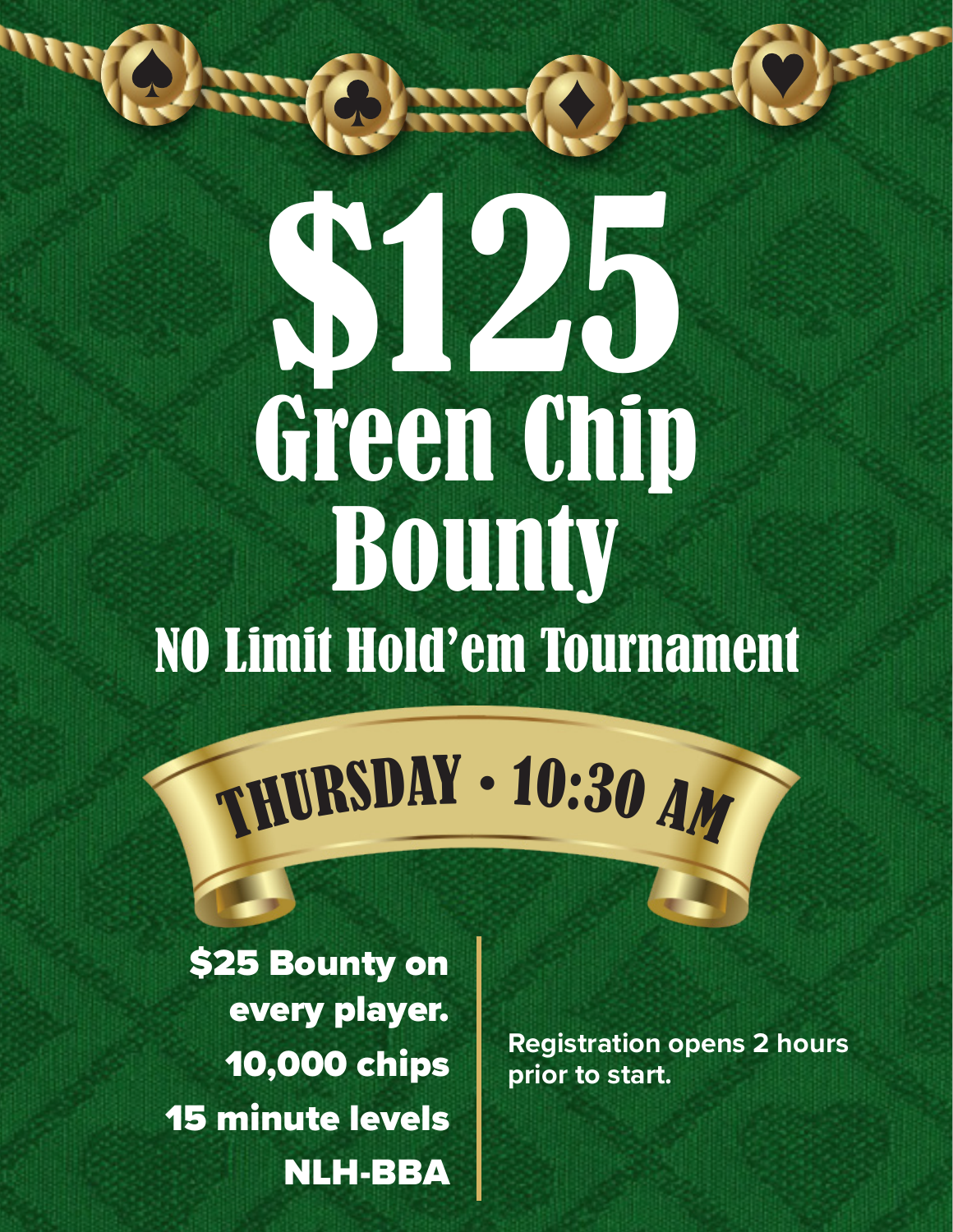## \$125 Green Chip Bounty NO Limit Hold'em Tournament

WO-0-0-0-

## <sup>T</sup>HURSDA<sup>Y</sup> • <sup>1</sup>0:3<sup>0</sup> <sup>A</sup><sup>M</sup>

\$25 Bounty on every player. 10,000 chips 15 minute levels NLH-BBA

**Registration opens 2 hours prior to start.**